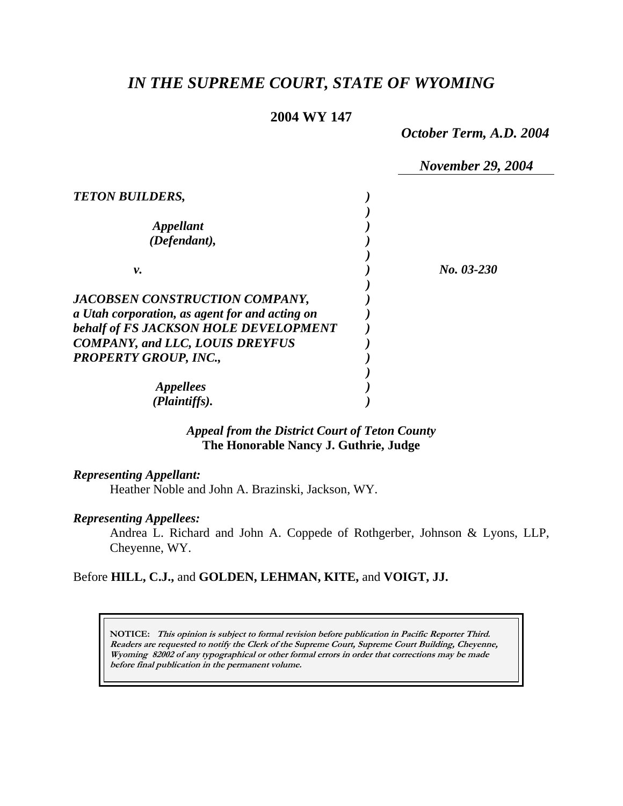# *IN THE SUPREME COURT, STATE OF WYOMING*

## **2004 WY 147**

*October Term, A.D. 2004* 

|                                                | <b>November 29, 2004</b> |
|------------------------------------------------|--------------------------|
| <b>TETON BUILDERS,</b>                         |                          |
|                                                |                          |
| Appellant                                      |                          |
| (Defendant),                                   |                          |
|                                                |                          |
| ν.                                             | No. 03-230               |
|                                                |                          |
| JACOBSEN CONSTRUCTION COMPANY,                 |                          |
| a Utah corporation, as agent for and acting on |                          |
| behalf of FS JACKSON HOLE DEVELOPMENT          |                          |
| <b>COMPANY, and LLC, LOUIS DREYFUS</b>         |                          |
| <b>PROPERTY GROUP, INC.,</b>                   |                          |
|                                                |                          |
| <i>Appellees</i>                               |                          |
| (Plaintiffs).                                  |                          |
|                                                |                          |

## *Appeal from the District Court of Teton County* **The Honorable Nancy J. Guthrie, Judge**

### *Representing Appellant:*

Heather Noble and John A. Brazinski, Jackson, WY.

### *Representing Appellees:*

Andrea L. Richard and John A. Coppede of Rothgerber, Johnson & Lyons, LLP, Cheyenne, WY.

### Before **HILL, C.J.,** and **GOLDEN, LEHMAN, KITE,** and **VOIGT, JJ.**

**NOTICE: This opinion is subject to formal revision before publication in Pacific Reporter Third. Readers are requested to notify the Clerk of the Supreme Court, Supreme Court Building, Cheyenne, Wyoming 82002 of any typographical or other formal errors in order that corrections may be made before final publication in the permanent volume.**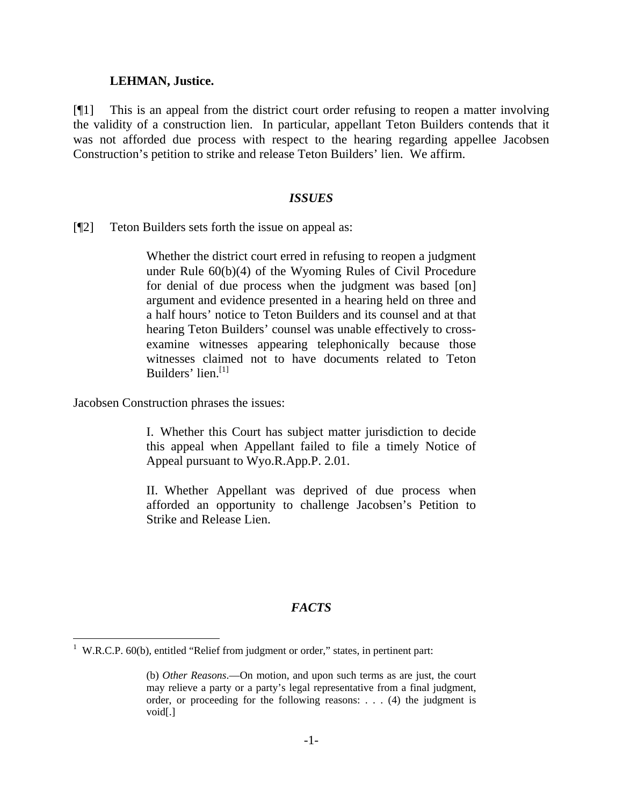### **LEHMAN, Justice.**

[¶1] This is an appeal from the district court order refusing to reopen a matter involving the validity of a construction lien. In particular, appellant Teton Builders contends that it was not afforded due process with respect to the hearing regarding appellee Jacobsen Construction's petition to strike and release Teton Builders' lien. We affirm.

### *ISSUES*

[¶2] Teton Builders sets forth the issue on appeal as:

Whether the district court erred in refusing to reopen a judgment under Rule 60(b)(4) of the Wyoming Rules of Civil Procedure for denial of due process when the judgment was based [on] argument and evidence presented in a hearing held on three and a half hours' notice to Teton Builders and its counsel and at that hearing Teton Builders' counsel was unable effectively to crossexamine witnesses appearing telephonically because those witnesses claimed not to have documents related to Teton Builders' lien. $[1]$ 

Jacobsen Construction phrases the issues:

I. Whether this Court has subject matter jurisdiction to decide this appeal when Appellant failed to file a timely Notice of Appeal pursuant to Wyo.R.App.P. 2.01.

II. Whether Appellant was deprived of due process when afforded an opportunity to challenge Jacobsen's Petition to Strike and Release Lien.

### *FACTS*

 1 W.R.C.P. 60(b), entitled "Relief from judgment or order," states, in pertinent part:

<sup>(</sup>b) *Other Reasons*.—On motion, and upon such terms as are just, the court may relieve a party or a party's legal representative from a final judgment, order, or proceeding for the following reasons: . . . (4) the judgment is void[.]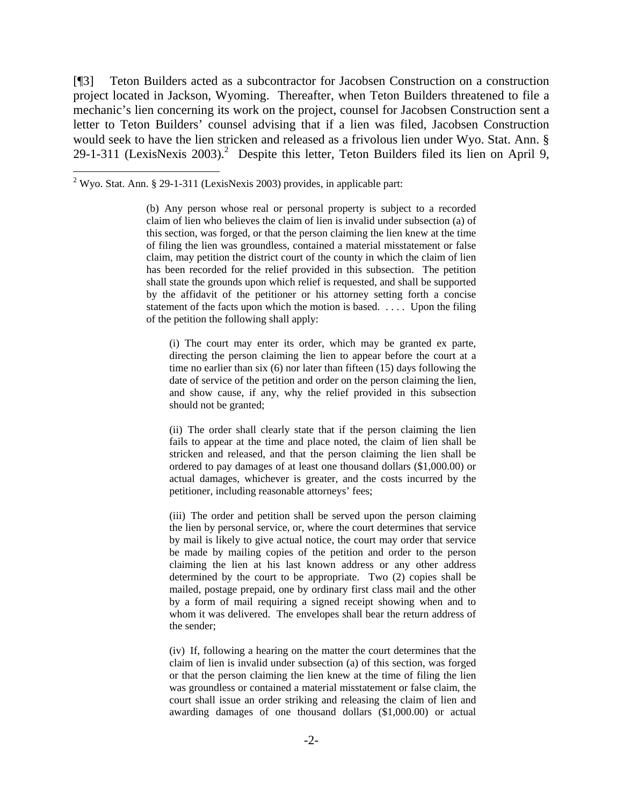[¶3] Teton Builders acted as a subcontractor for Jacobsen Construction on a construction project located in Jackson, Wyoming. Thereafter, when Teton Builders threatened to file a mechanic's lien concerning its work on the project, counsel for Jacobsen Construction sent a letter to Teton Builders' counsel advising that if a lien was filed, Jacobsen Construction would seek to have the lien stricken and released as a frivolous lien under Wyo. Stat. Ann. § 29-1-311 (LexisNexis 2003).<sup>2</sup> Despite this letter, Teton Builders filed its lien on April 9,

l

(i) The court may enter its order, which may be granted ex parte, directing the person claiming the lien to appear before the court at a time no earlier than six (6) nor later than fifteen (15) days following the date of service of the petition and order on the person claiming the lien, and show cause, if any, why the relief provided in this subsection should not be granted;

(ii) The order shall clearly state that if the person claiming the lien fails to appear at the time and place noted, the claim of lien shall be stricken and released, and that the person claiming the lien shall be ordered to pay damages of at least one thousand dollars (\$1,000.00) or actual damages, whichever is greater, and the costs incurred by the petitioner, including reasonable attorneys' fees;

(iii) The order and petition shall be served upon the person claiming the lien by personal service, or, where the court determines that service by mail is likely to give actual notice, the court may order that service be made by mailing copies of the petition and order to the person claiming the lien at his last known address or any other address determined by the court to be appropriate. Two (2) copies shall be mailed, postage prepaid, one by ordinary first class mail and the other by a form of mail requiring a signed receipt showing when and to whom it was delivered. The envelopes shall bear the return address of the sender;

(iv) If, following a hearing on the matter the court determines that the claim of lien is invalid under subsection (a) of this section, was forged or that the person claiming the lien knew at the time of filing the lien was groundless or contained a material misstatement or false claim, the court shall issue an order striking and releasing the claim of lien and awarding damages of one thousand dollars (\$1,000.00) or actual

<sup>&</sup>lt;sup>2</sup> Wyo. Stat. Ann. § 29-1-311 (LexisNexis 2003) provides, in applicable part:

<sup>(</sup>b) Any person whose real or personal property is subject to a recorded claim of lien who believes the claim of lien is invalid under subsection (a) of this section, was forged, or that the person claiming the lien knew at the time of filing the lien was groundless, contained a material misstatement or false claim, may petition the district court of the county in which the claim of lien has been recorded for the relief provided in this subsection. The petition shall state the grounds upon which relief is requested, and shall be supported by the affidavit of the petitioner or his attorney setting forth a concise statement of the facts upon which the motion is based. . . . . Upon the filing of the petition the following shall apply: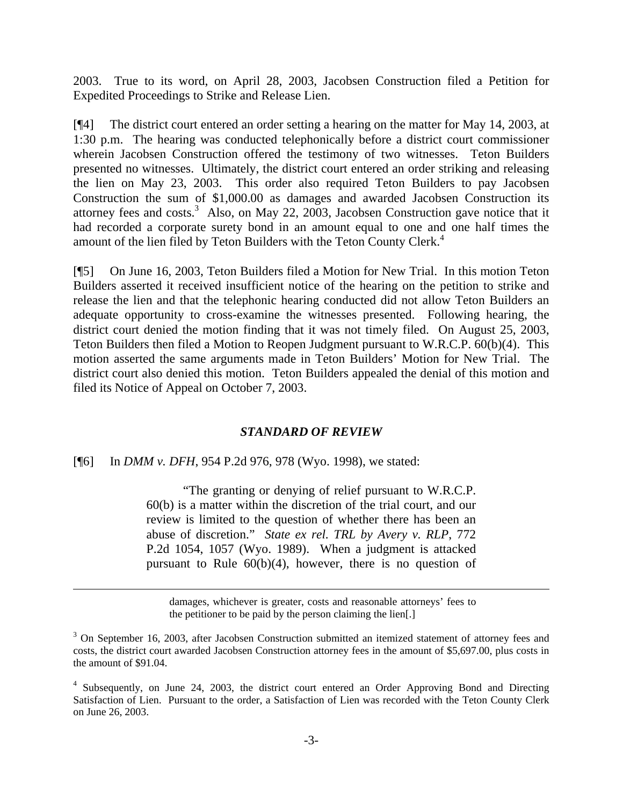2003. True to its word, on April 28, 2003, Jacobsen Construction filed a Petition for Expedited Proceedings to Strike and Release Lien.

[¶4] The district court entered an order setting a hearing on the matter for May 14, 2003, at 1:30 p.m. The hearing was conducted telephonically before a district court commissioner wherein Jacobsen Construction offered the testimony of two witnesses. Teton Builders presented no witnesses. Ultimately, the district court entered an order striking and releasing the lien on May 23, 2003. This order also required Teton Builders to pay Jacobsen Construction the sum of \$1,000.00 as damages and awarded Jacobsen Construction its attorney fees and costs.<sup>3</sup> Also, on May 22, 2003, Jacobsen Construction gave notice that it had recorded a corporate surety bond in an amount equal to one and one half times the amount of the lien filed by Teton Builders with the Teton County Clerk.<sup>4</sup>

[¶5] On June 16, 2003, Teton Builders filed a Motion for New Trial. In this motion Teton Builders asserted it received insufficient notice of the hearing on the petition to strike and release the lien and that the telephonic hearing conducted did not allow Teton Builders an adequate opportunity to cross-examine the witnesses presented. Following hearing, the district court denied the motion finding that it was not timely filed. On August 25, 2003, Teton Builders then filed a Motion to Reopen Judgment pursuant to W.R.C.P. 60(b)(4). This motion asserted the same arguments made in Teton Builders' Motion for New Trial. The district court also denied this motion. Teton Builders appealed the denial of this motion and filed its Notice of Appeal on October 7, 2003.

#### *STANDARD OF REVIEW*

#### [¶6] In *DMM v. DFH*, 954 P.2d 976, 978 (Wyo. 1998), we stated:

 "The granting or denying of relief pursuant to W.R.C.P. 60(b) is a matter within the discretion of the trial court, and our review is limited to the question of whether there has been an abuse of discretion." *State ex rel. TRL by Avery v. RLP*, 772 P.2d 1054, 1057 (Wyo. 1989). When a judgment is attacked pursuant to Rule 60(b)(4), however, there is no question of

damages, whichever is greater, costs and reasonable attorneys' fees to the petitioner to be paid by the person claiming the lien[.]

 $3$  On September 16, 2003, after Jacobsen Construction submitted an itemized statement of attorney fees and costs, the district court awarded Jacobsen Construction attorney fees in the amount of \$5,697.00, plus costs in the amount of \$91.04.

<sup>&</sup>lt;sup>4</sup> Subsequently, on June 24, 2003, the district court entered an Order Approving Bond and Directing Satisfaction of Lien. Pursuant to the order, a Satisfaction of Lien was recorded with the Teton County Clerk on June 26, 2003.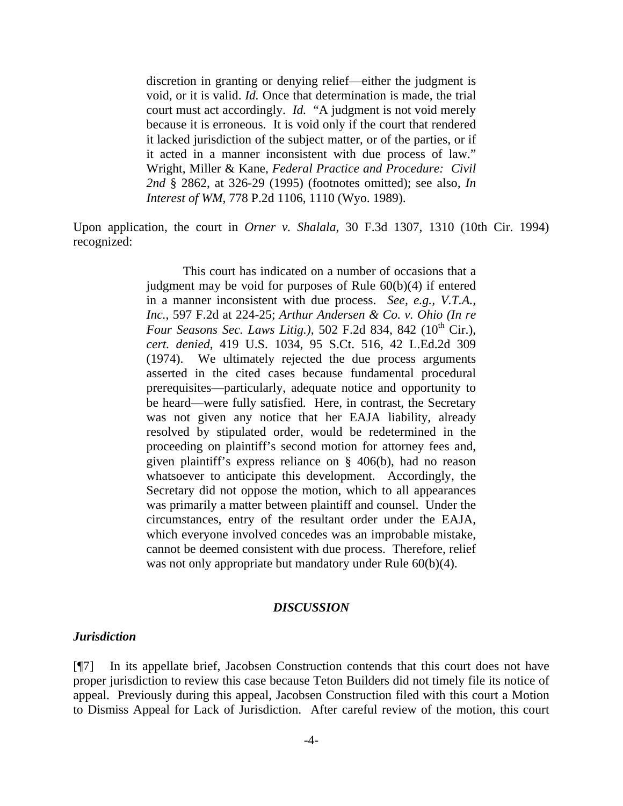discretion in granting or denying relief—either the judgment is void, or it is valid. *Id.* Once that determination is made, the trial court must act accordingly. *Id.* "A judgment is not void merely because it is erroneous. It is void only if the court that rendered it lacked jurisdiction of the subject matter, or of the parties, or if it acted in a manner inconsistent with due process of law." Wright, Miller & Kane, *Federal Practice and Procedure: Civil 2nd* § 2862, at 326-29 (1995) (footnotes omitted); see also*, In Interest of WM*, 778 P.2d 1106, 1110 (Wyo. 1989).

Upon application, the court in *Orner v. Shalala*, 30 F.3d 1307, 1310 (10th Cir. 1994) recognized:

> This court has indicated on a number of occasions that a judgment may be void for purposes of Rule 60(b)(4) if entered in a manner inconsistent with due process. *See, e.g., V.T.A., Inc.*, 597 F.2d at 224-25; *Arthur Andersen & Co. v. Ohio (In re Four Seasons Sec. Laws Litig.*), 502 F.2d 834, 842 (10<sup>th</sup> Cir.), *cert. denied*, 419 U.S. 1034, 95 S.Ct. 516, 42 L.Ed.2d 309 (1974). We ultimately rejected the due process arguments asserted in the cited cases because fundamental procedural prerequisites—particularly, adequate notice and opportunity to be heard—were fully satisfied. Here, in contrast, the Secretary was not given any notice that her EAJA liability, already resolved by stipulated order, would be redetermined in the proceeding on plaintiff's second motion for attorney fees and, given plaintiff's express reliance on § 406(b), had no reason whatsoever to anticipate this development. Accordingly, the Secretary did not oppose the motion, which to all appearances was primarily a matter between plaintiff and counsel. Under the circumstances, entry of the resultant order under the EAJA, which everyone involved concedes was an improbable mistake, cannot be deemed consistent with due process. Therefore, relief was not only appropriate but mandatory under Rule  $60(b)(4)$ .

#### *DISCUSSION*

#### *Jurisdiction*

[¶7] In its appellate brief, Jacobsen Construction contends that this court does not have proper jurisdiction to review this case because Teton Builders did not timely file its notice of appeal. Previously during this appeal, Jacobsen Construction filed with this court a Motion to Dismiss Appeal for Lack of Jurisdiction. After careful review of the motion, this court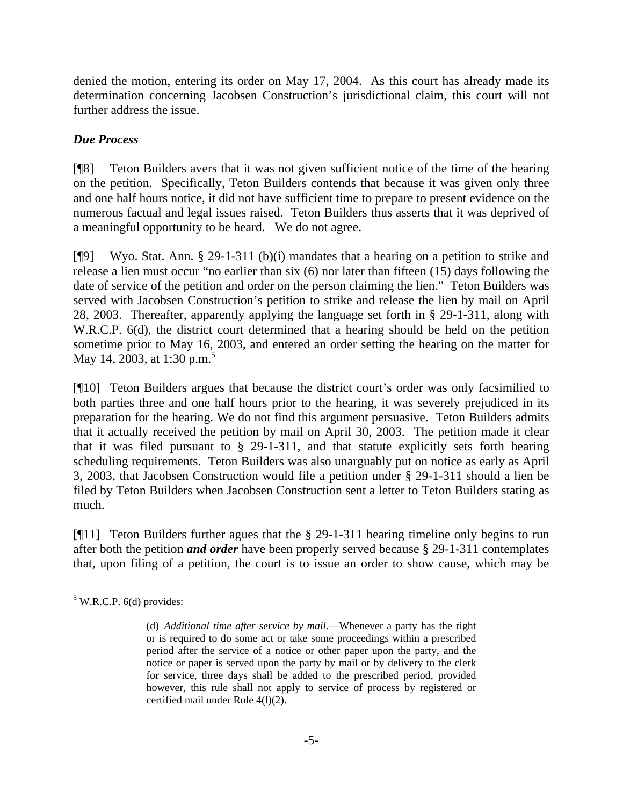denied the motion, entering its order on May 17, 2004. As this court has already made its determination concerning Jacobsen Construction's jurisdictional claim, this court will not further address the issue.

# *Due Process*

[¶8] Teton Builders avers that it was not given sufficient notice of the time of the hearing on the petition. Specifically, Teton Builders contends that because it was given only three and one half hours notice, it did not have sufficient time to prepare to present evidence on the numerous factual and legal issues raised. Teton Builders thus asserts that it was deprived of a meaningful opportunity to be heard. We do not agree.

[¶9] Wyo. Stat. Ann. § 29-1-311 (b)(i) mandates that a hearing on a petition to strike and release a lien must occur "no earlier than six (6) nor later than fifteen (15) days following the date of service of the petition and order on the person claiming the lien." Teton Builders was served with Jacobsen Construction's petition to strike and release the lien by mail on April 28, 2003. Thereafter, apparently applying the language set forth in § 29-1-311, along with W.R.C.P. 6(d), the district court determined that a hearing should be held on the petition sometime prior to May 16, 2003, and entered an order setting the hearing on the matter for May 14, 2003, at 1:30 p.m.<sup>5</sup>

[¶10] Teton Builders argues that because the district court's order was only facsimilied to both parties three and one half hours prior to the hearing, it was severely prejudiced in its preparation for the hearing. We do not find this argument persuasive. Teton Builders admits that it actually received the petition by mail on April 30, 2003. The petition made it clear that it was filed pursuant to § 29-1-311, and that statute explicitly sets forth hearing scheduling requirements. Teton Builders was also unarguably put on notice as early as April 3, 2003, that Jacobsen Construction would file a petition under § 29-1-311 should a lien be filed by Teton Builders when Jacobsen Construction sent a letter to Teton Builders stating as much.

[¶11] Teton Builders further agues that the § 29-1-311 hearing timeline only begins to run after both the petition *and order* have been properly served because § 29-1-311 contemplates that, upon filing of a petition, the court is to issue an order to show cause, which may be

  $5$  W.R.C.P. 6(d) provides:

<sup>(</sup>d) *Additional time after service by mail*.—Whenever a party has the right or is required to do some act or take some proceedings within a prescribed period after the service of a notice or other paper upon the party, and the notice or paper is served upon the party by mail or by delivery to the clerk for service, three days shall be added to the prescribed period, provided however, this rule shall not apply to service of process by registered or certified mail under Rule 4(l)(2).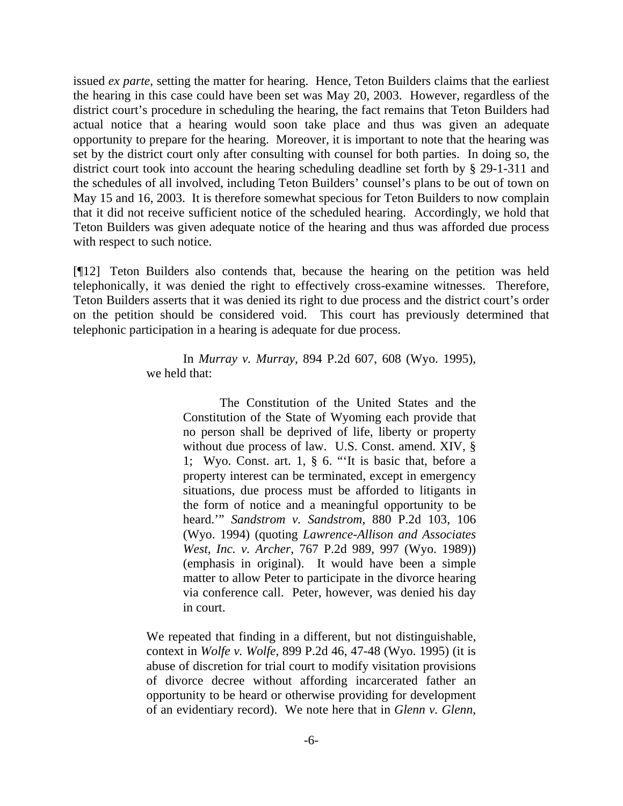issued *ex parte*, setting the matter for hearing. Hence, Teton Builders claims that the earliest the hearing in this case could have been set was May 20, 2003. However, regardless of the district court's procedure in scheduling the hearing, the fact remains that Teton Builders had actual notice that a hearing would soon take place and thus was given an adequate opportunity to prepare for the hearing. Moreover, it is important to note that the hearing was set by the district court only after consulting with counsel for both parties. In doing so, the district court took into account the hearing scheduling deadline set forth by § 29-1-311 and the schedules of all involved, including Teton Builders' counsel's plans to be out of town on May 15 and 16, 2003. It is therefore somewhat specious for Teton Builders to now complain that it did not receive sufficient notice of the scheduled hearing. Accordingly, we hold that Teton Builders was given adequate notice of the hearing and thus was afforded due process with respect to such notice.

[¶12] Teton Builders also contends that, because the hearing on the petition was held telephonically, it was denied the right to effectively cross-examine witnesses. Therefore, Teton Builders asserts that it was denied its right to due process and the district court's order on the petition should be considered void. This court has previously determined that telephonic participation in a hearing is adequate for due process.

> In *Murray v. Murray*, 894 P.2d 607, 608 (Wyo. 1995), we held that:

> > The Constitution of the United States and the Constitution of the State of Wyoming each provide that no person shall be deprived of life, liberty or property without due process of law. U.S. Const. amend. XIV, § 1; Wyo. Const. art. 1, § 6. "'It is basic that, before a property interest can be terminated, except in emergency situations, due process must be afforded to litigants in the form of notice and a meaningful opportunity to be heard.'" *Sandstrom v. Sandstrom*, 880 P.2d 103, 106 (Wyo. 1994) (quoting *Lawrence-Allison and Associates West, Inc. v. Archer*, 767 P.2d 989, 997 (Wyo. 1989)) (emphasis in original). It would have been a simple matter to allow Peter to participate in the divorce hearing via conference call. Peter, however, was denied his day in court.

We repeated that finding in a different, but not distinguishable, context in *Wolfe v. Wolfe*, 899 P.2d 46, 47-48 (Wyo. 1995) (it is abuse of discretion for trial court to modify visitation provisions of divorce decree without affording incarcerated father an opportunity to be heard or otherwise providing for development of an evidentiary record). We note here that in *Glenn v. Glenn*,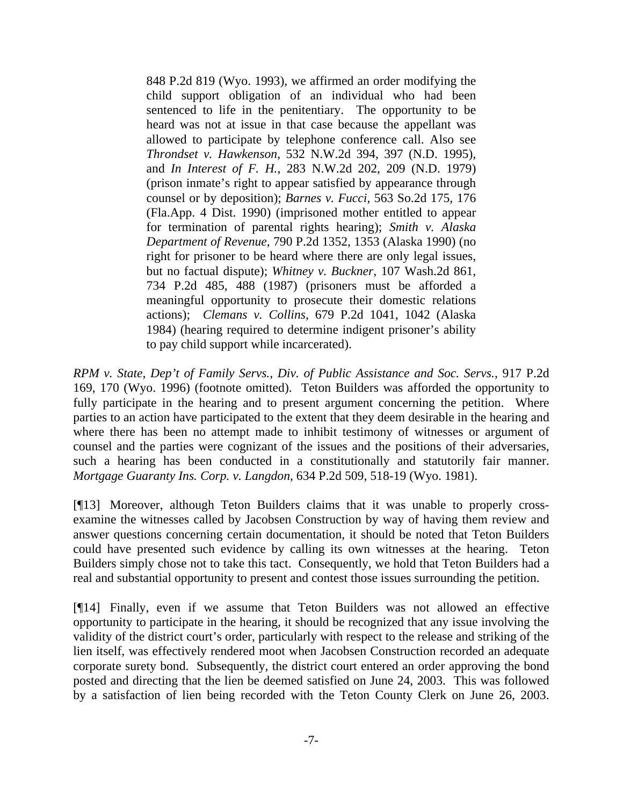848 P.2d 819 (Wyo. 1993), we affirmed an order modifying the child support obligation of an individual who had been sentenced to life in the penitentiary. The opportunity to be heard was not at issue in that case because the appellant was allowed to participate by telephone conference call. Also see *Throndset v. Hawkenson*, 532 N.W.2d 394, 397 (N.D. 1995), and *In Interest of F. H.*, 283 N.W.2d 202, 209 (N.D. 1979) (prison inmate's right to appear satisfied by appearance through counsel or by deposition); *Barnes v. Fucci*, 563 So.2d 175, 176 (Fla.App. 4 Dist. 1990) (imprisoned mother entitled to appear for termination of parental rights hearing); *Smith v. Alaska Department of Revenue*, 790 P.2d 1352, 1353 (Alaska 1990) (no right for prisoner to be heard where there are only legal issues, but no factual dispute); *Whitney v. Buckner*, 107 Wash.2d 861, 734 P.2d 485, 488 (1987) (prisoners must be afforded a meaningful opportunity to prosecute their domestic relations actions); *Clemans v. Collins*, 679 P.2d 1041, 1042 (Alaska 1984) (hearing required to determine indigent prisoner's ability to pay child support while incarcerated).

*RPM v. State, Dep't of Family Servs., Div. of Public Assistance and Soc. Servs.*, 917 P.2d 169, 170 (Wyo. 1996) (footnote omitted). Teton Builders was afforded the opportunity to fully participate in the hearing and to present argument concerning the petition. Where parties to an action have participated to the extent that they deem desirable in the hearing and where there has been no attempt made to inhibit testimony of witnesses or argument of counsel and the parties were cognizant of the issues and the positions of their adversaries, such a hearing has been conducted in a constitutionally and statutorily fair manner. *Mortgage Guaranty Ins. Corp. v. Langdon*, 634 P.2d 509, 518-19 (Wyo. 1981).

[¶13] Moreover, although Teton Builders claims that it was unable to properly crossexamine the witnesses called by Jacobsen Construction by way of having them review and answer questions concerning certain documentation, it should be noted that Teton Builders could have presented such evidence by calling its own witnesses at the hearing. Teton Builders simply chose not to take this tact. Consequently, we hold that Teton Builders had a real and substantial opportunity to present and contest those issues surrounding the petition.

[¶14] Finally, even if we assume that Teton Builders was not allowed an effective opportunity to participate in the hearing, it should be recognized that any issue involving the validity of the district court's order, particularly with respect to the release and striking of the lien itself, was effectively rendered moot when Jacobsen Construction recorded an adequate corporate surety bond. Subsequently, the district court entered an order approving the bond posted and directing that the lien be deemed satisfied on June 24, 2003. This was followed by a satisfaction of lien being recorded with the Teton County Clerk on June 26, 2003.